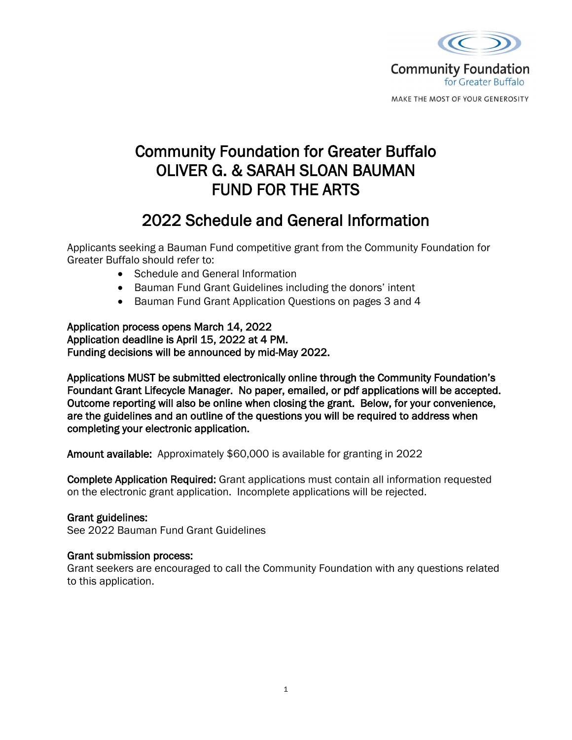

MAKE THE MOST OF YOUR GENEROSITY

# Community Foundation for Greater Buffalo OLIVER G. & SARAH SLOAN BAUMAN FUND FOR THE ARTS

## 2022 Schedule and General Information

Applicants seeking a Bauman Fund competitive grant from the Community Foundation for Greater Buffalo should refer to:

- Schedule and General Information
- Bauman Fund Grant Guidelines including the donors' intent
- Bauman Fund Grant Application Questions on pages 3 and 4

Application process opens March 14, 2022 Application deadline is April 15, 2022 at 4 PM. Funding decisions will be announced by mid-May 2022.

Applications MUST be submitted electronically online through the Community Foundation's Foundant Grant Lifecycle Manager. No paper, emailed, or pdf applications will be accepted. Outcome reporting will also be online when closing the grant. Below, for your convenience, are the guidelines and an outline of the questions you will be required to address when completing your electronic application.

Amount available: Approximately \$60,000 is available for granting in 2022

Complete Application Required: Grant applications must contain all information requested on the electronic grant application. Incomplete applications will be rejected.

### Grant guidelines:

See 2022 Bauman Fund Grant Guidelines

### Grant submission process:

Grant seekers are encouraged to call the Community Foundation with any questions related to this application.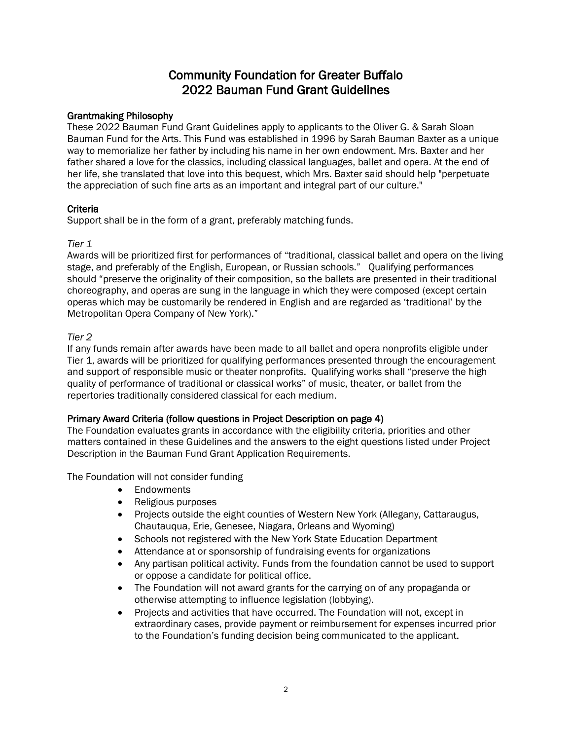## Community Foundation for Greater Buffalo 2022 Bauman Fund Grant Guidelines

#### Grantmaking Philosophy

These 2022 Bauman Fund Grant Guidelines apply to applicants to the Oliver G. & Sarah Sloan Bauman Fund for the Arts. This Fund was established in 1996 by Sarah Bauman Baxter as a unique way to memorialize her father by including his name in her own endowment. Mrs. Baxter and her father shared a love for the classics, including classical languages, ballet and opera. At the end of her life, she translated that love into this bequest, which Mrs. Baxter said should help "perpetuate the appreciation of such fine arts as an important and integral part of our culture."

#### **Criteria**

Support shall be in the form of a grant, preferably matching funds.

#### *Tier 1*

Awards will be prioritized first for performances of "traditional, classical ballet and opera on the living stage, and preferably of the English, European, or Russian schools." Qualifying performances should "preserve the originality of their composition, so the ballets are presented in their traditional choreography, and operas are sung in the language in which they were composed (except certain operas which may be customarily be rendered in English and are regarded as 'traditional' by the Metropolitan Opera Company of New York)."

#### *Tier 2*

If any funds remain after awards have been made to all ballet and opera nonprofits eligible under Tier 1, awards will be prioritized for qualifying performances presented through the encouragement and support of responsible music or theater nonprofits. Qualifying works shall "preserve the high quality of performance of traditional or classical works" of music, theater, or ballet from the repertories traditionally considered classical for each medium.

#### Primary Award Criteria (follow questions in Project Description on page 4)

The Foundation evaluates grants in accordance with the eligibility criteria, priorities and other matters contained in these Guidelines and the answers to the eight questions listed under Project Description in the Bauman Fund Grant Application Requirements.

The Foundation will not consider funding

- Endowments
- Religious purposes
- Projects outside the eight counties of Western New York (Allegany, Cattaraugus, Chautauqua, Erie, Genesee, Niagara, Orleans and Wyoming)
- Schools not registered with the New York State Education Department
- Attendance at or sponsorship of fundraising events for organizations
- Any partisan political activity. Funds from the foundation cannot be used to support or oppose a candidate for political office.
- The Foundation will not award grants for the carrying on of any propaganda or otherwise attempting to influence legislation (lobbying).
- Projects and activities that have occurred. The Foundation will not, except in extraordinary cases, provide payment or reimbursement for expenses incurred prior to the Foundation's funding decision being communicated to the applicant.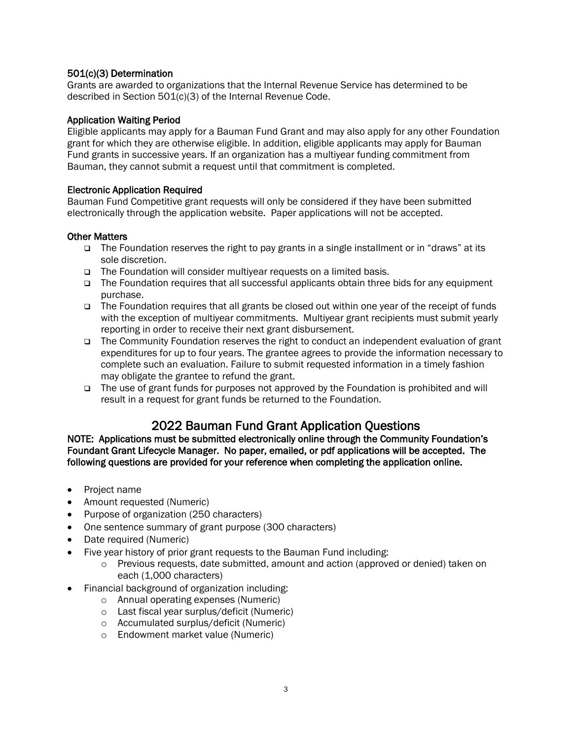#### 501(c)(3) Determination

Grants are awarded to organizations that the Internal Revenue Service has determined to be described in Section 501(c)(3) of the Internal Revenue Code.

#### Application Waiting Period

Eligible applicants may apply for a Bauman Fund Grant and may also apply for any other Foundation grant for which they are otherwise eligible. In addition, eligible applicants may apply for Bauman Fund grants in successive years. If an organization has a multiyear funding commitment from Bauman, they cannot submit a request until that commitment is completed.

#### Electronic Application Required

Bauman Fund Competitive grant requests will only be considered if they have been submitted electronically through the application website. Paper applications will not be accepted.

#### Other Matters

- The Foundation reserves the right to pay grants in a single installment or in "draws" at its sole discretion.
- □ The Foundation will consider multiyear requests on a limited basis.
- The Foundation requires that all successful applicants obtain three bids for any equipment purchase.
- $\Box$  The Foundation requires that all grants be closed out within one year of the receipt of funds with the exception of multiyear commitments. Multiyear grant recipients must submit yearly reporting in order to receive their next grant disbursement.
- The Community Foundation reserves the right to conduct an independent evaluation of grant expenditures for up to four years. The grantee agrees to provide the information necessary to complete such an evaluation. Failure to submit requested information in a timely fashion may obligate the grantee to refund the grant.
- The use of grant funds for purposes not approved by the Foundation is prohibited and will result in a request for grant funds be returned to the Foundation.

2022 Bauman Fund Grant Application Questions<br>NOTE: Applications must be submitted electronically online through the Community Foundation's Foundant Grant Lifecycle Manager. No paper, emailed, or pdf applications will be accepted. The following questions are provided for your reference when completing the application online.

- Project name
- Amount requested (Numeric)
- Purpose of organization (250 characters)
- One sentence summary of grant purpose (300 characters)
- Date required (Numeric)
	- Five year history of prior grant requests to the Bauman Fund including:
		- $\circ$  Previous requests, date submitted, amount and action (approved or denied) taken on each (1,000 characters)
- Financial background of organization including:
	- o Annual operating expenses (Numeric)
	- o Last fiscal year surplus/deficit (Numeric)
	- o Accumulated surplus/deficit (Numeric)
	- o Endowment market value (Numeric)